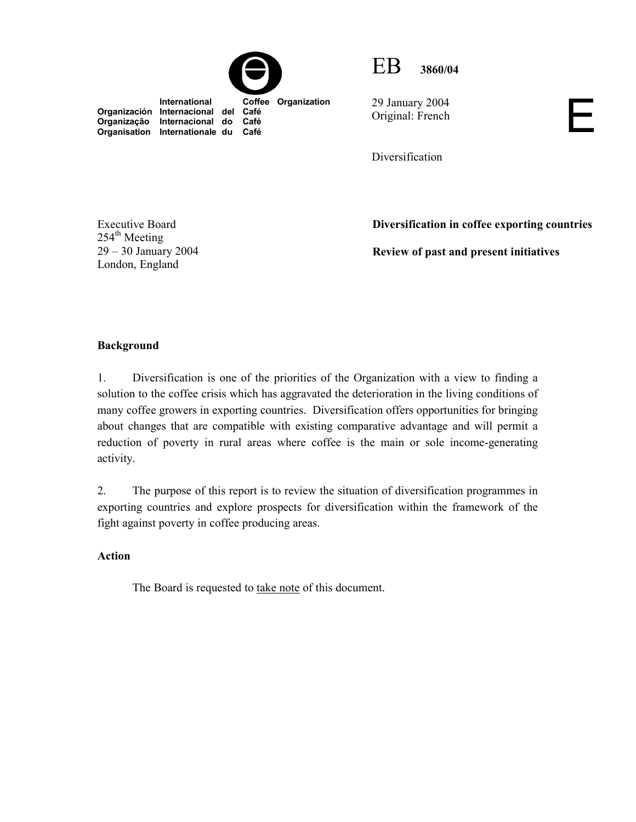



29 January 2004 Original: French  $\Box$ 

Diversification

Executive Board  $254<sup>th</sup>$  Meeting 29 – 30 January 2004 London, England

**Organisation Internationale du** 

**Diversification in coffee exporting countries** 

**Review of past and present initiatives** 

# **Background**

1. Diversification is one of the priorities of the Organization with a view to finding a solution to the coffee crisis which has aggravated the deterioration in the living conditions of many coffee growers in exporting countries. Diversification offers opportunities for bringing about changes that are compatible with existing comparative advantage and will permit a reduction of poverty in rural areas where coffee is the main or sole income-generating activity.

2. The purpose of this report is to review the situation of diversification programmes in exporting countries and explore prospects for diversification within the framework of the fight against poverty in coffee producing areas.

## **Action**

The Board is requested to take note of this document.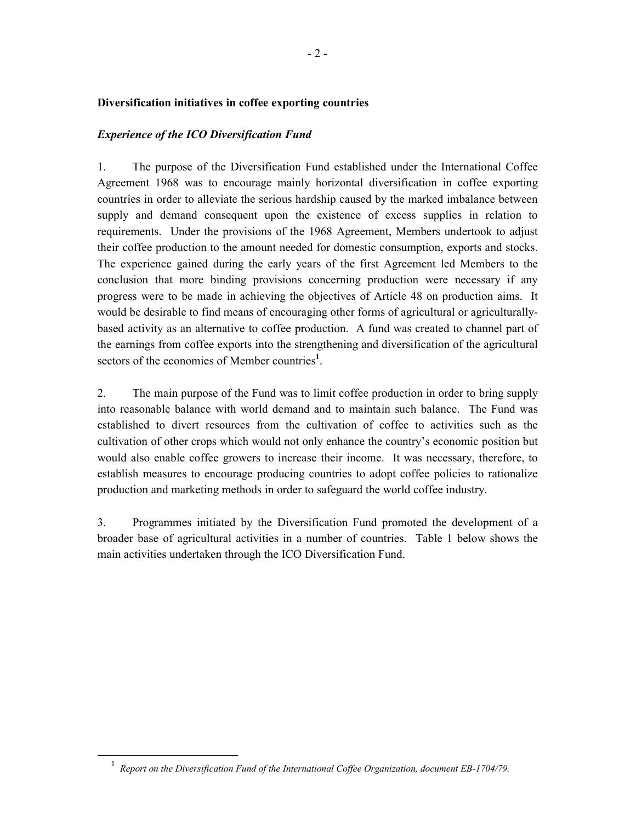## **Diversification initiatives in coffee exporting countries**

## *Experience of the ICO Diversification Fund*

1. The purpose of the Diversification Fund established under the International Coffee Agreement 1968 was to encourage mainly horizontal diversification in coffee exporting countries in order to alleviate the serious hardship caused by the marked imbalance between supply and demand consequent upon the existence of excess supplies in relation to requirements. Under the provisions of the 1968 Agreement, Members undertook to adjust their coffee production to the amount needed for domestic consumption, exports and stocks. The experience gained during the early years of the first Agreement led Members to the conclusion that more binding provisions concerning production were necessary if any progress were to be made in achieving the objectives of Article 48 on production aims. It would be desirable to find means of encouraging other forms of agricultural or agriculturallybased activity as an alternative to coffee production. A fund was created to channel part of the earnings from coffee exports into the strengthening and diversification of the agricultural sectors of the economies of Member countries<sup>1</sup>.

2. The main purpose of the Fund was to limit coffee production in order to bring supply into reasonable balance with world demand and to maintain such balance. The Fund was established to divert resources from the cultivation of coffee to activities such as the cultivation of other crops which would not only enhance the country's economic position but would also enable coffee growers to increase their income. It was necessary, therefore, to establish measures to encourage producing countries to adopt coffee policies to rationalize production and marketing methods in order to safeguard the world coffee industry.

3. Programmes initiated by the Diversification Fund promoted the development of a broader base of agricultural activities in a number of countries. Table 1 below shows the main activities undertaken through the ICO Diversification Fund.

 $\frac{1}{1}$ *Report on the Diversification Fund of the International Coffee Organization, document EB-1704/79.*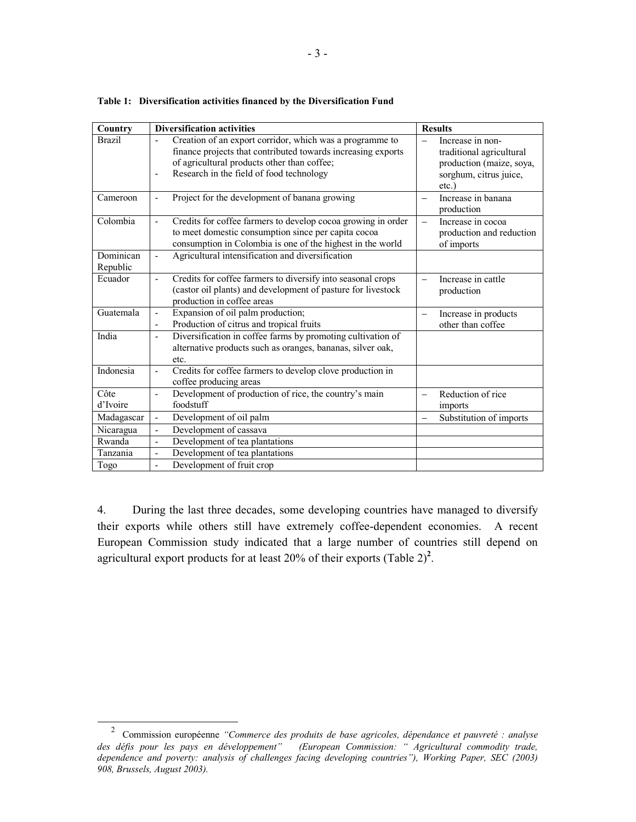| Country               | <b>Diversification activities</b>                                                                                                                                                                                                     | <b>Results</b>                                                                                                 |
|-----------------------|---------------------------------------------------------------------------------------------------------------------------------------------------------------------------------------------------------------------------------------|----------------------------------------------------------------------------------------------------------------|
| <b>Brazil</b>         | Creation of an export corridor, which was a programme to<br>$\blacksquare$<br>finance projects that contributed towards increasing exports<br>of agricultural products other than coffee;<br>Research in the field of food technology | Increase in non-<br>traditional agricultural<br>production (maize, soya,<br>sorghum, citrus juice,<br>$etc.$ ) |
| Cameroon              | Project for the development of banana growing<br>$\overline{\phantom{a}}$                                                                                                                                                             | Increase in banana<br>production                                                                               |
| Colombia              | Credits for coffee farmers to develop cocoa growing in order<br>$\overline{\phantom{a}}$<br>to meet domestic consumption since per capita cocoa<br>consumption in Colombia is one of the highest in the world                         | Increase in cocoa<br>$\overline{\phantom{0}}$<br>production and reduction<br>of imports                        |
| Dominican<br>Republic | Agricultural intensification and diversification<br>$\overline{\phantom{a}}$                                                                                                                                                          |                                                                                                                |
| Ecuador               | Credits for coffee farmers to diversify into seasonal crops<br>$\blacksquare$<br>(castor oil plants) and development of pasture for livestock<br>production in coffee areas                                                           | Increase in cattle<br>production                                                                               |
| Guatemala             | Expansion of oil palm production;<br>$\overline{\phantom{a}}$<br>Production of citrus and tropical fruits<br>$\overline{\phantom{a}}$                                                                                                 | Increase in products<br>other than coffee                                                                      |
| India                 | Diversification in coffee farms by promoting cultivation of<br>$\overline{\phantom{a}}$<br>alternative products such as oranges, bananas, silver oak,<br>etc.                                                                         |                                                                                                                |
| Indonesia             | Credits for coffee farmers to develop clove production in<br>$\overline{\phantom{a}}$<br>coffee producing areas                                                                                                                       |                                                                                                                |
| Côte<br>d'Ivoire      | Development of production of rice, the country's main<br>$\blacksquare$<br>foodstuff                                                                                                                                                  | Reduction of rice<br>imports                                                                                   |
| Madagascar            | Development of oil palm<br>$\overline{\phantom{0}}$                                                                                                                                                                                   | Substitution of imports                                                                                        |
| Nicaragua             | Development of cassava<br>$\blacksquare$                                                                                                                                                                                              |                                                                                                                |
| Rwanda                | Development of tea plantations<br>$\blacksquare$                                                                                                                                                                                      |                                                                                                                |
| Tanzania              | Development of tea plantations<br>$\blacksquare$                                                                                                                                                                                      |                                                                                                                |
| Togo                  | Development of fruit crop<br>$\blacksquare$                                                                                                                                                                                           |                                                                                                                |

**Table 1: Diversification activities financed by the Diversification Fund** 

4. During the last three decades, some developing countries have managed to diversify their exports while others still have extremely coffee-dependent economies. A recent European Commission study indicated that a large number of countries still depend on agricultural export products for at least 20% of their exports (Table  $2)^2$ .

 <sup>2</sup> Commission européenne *"Commerce des produits de base agricoles, dépendance et pauvreté : analyse des défis pour les pays en développement" (European Commission: " Agricultural commodity trade, dependence and poverty: analysis of challenges facing developing countries"), Working Paper, SEC (2003) 908, Brussels, August 2003).*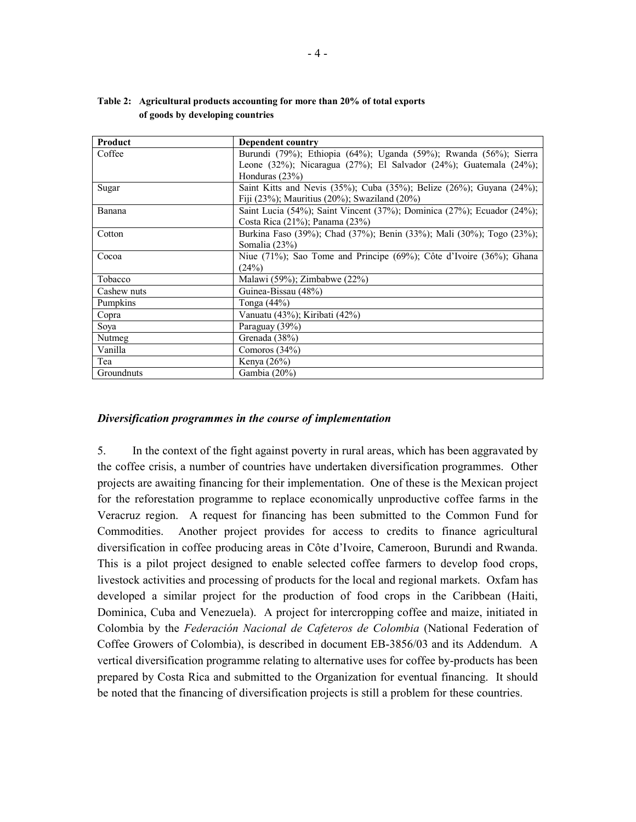| Product     | Dependent country                                                      |
|-------------|------------------------------------------------------------------------|
| Coffee      | Burundi (79%); Ethiopia (64%); Uganda (59%); Rwanda (56%); Sierra      |
|             | Leone (32%); Nicaragua (27%); El Salvador (24%); Guatemala (24%);      |
|             | Honduras $(23%)$                                                       |
| Sugar       | Saint Kitts and Nevis (35%); Cuba (35%); Belize (26%); Guyana (24%);   |
|             | Fiji (23%); Mauritius (20%); Swaziland (20%)                           |
| Banana      | Saint Lucia (54%); Saint Vincent (37%); Dominica (27%); Ecuador (24%); |
|             | Costa Rica (21%); Panama (23%)                                         |
| Cotton      | Burkina Faso (39%); Chad (37%); Benin (33%); Mali (30%); Togo (23%);   |
|             | Somalia (23%)                                                          |
| Cocoa       | Niue (71%); Sao Tome and Principe (69%); Côte d'Ivoire (36%); Ghana    |
|             | (24%)                                                                  |
| Tobacco     | Malawi $(59\%)$ ; Zimbabwe $(22\%)$                                    |
| Cashew nuts | Guinea-Bissau (48%)                                                    |
| Pumpkins    | Tonga $(44%)$                                                          |
| Copra       | Vanuatu (43%); Kiribati (42%)                                          |
| Soya        | Paraguay (39%)                                                         |
| Nutmeg      | Grenada (38%)                                                          |
| Vanilla     | Comoros $(34\%)$                                                       |
| Tea         | Kenya $(26\%)$                                                         |
| Groundnuts  | Gambia (20%)                                                           |

**Table 2: Agricultural products accounting for more than 20% of total exports of goods by developing countries** 

#### *Diversification programmes in the course of implementation*

5. In the context of the fight against poverty in rural areas, which has been aggravated by the coffee crisis, a number of countries have undertaken diversification programmes. Other projects are awaiting financing for their implementation. One of these is the Mexican project for the reforestation programme to replace economically unproductive coffee farms in the Veracruz region. A request for financing has been submitted to the Common Fund for Commodities. Another project provides for access to credits to finance agricultural diversification in coffee producing areas in Côte d'Ivoire, Cameroon, Burundi and Rwanda. This is a pilot project designed to enable selected coffee farmers to develop food crops, livestock activities and processing of products for the local and regional markets. Oxfam has developed a similar project for the production of food crops in the Caribbean (Haiti, Dominica, Cuba and Venezuela). A project for intercropping coffee and maize, initiated in Colombia by the *Federación Nacional de Cafeteros de Colombia* (National Federation of Coffee Growers of Colombia), is described in document EB-3856/03 and its Addendum. A vertical diversification programme relating to alternative uses for coffee by-products has been prepared by Costa Rica and submitted to the Organization for eventual financing. It should be noted that the financing of diversification projects is still a problem for these countries.